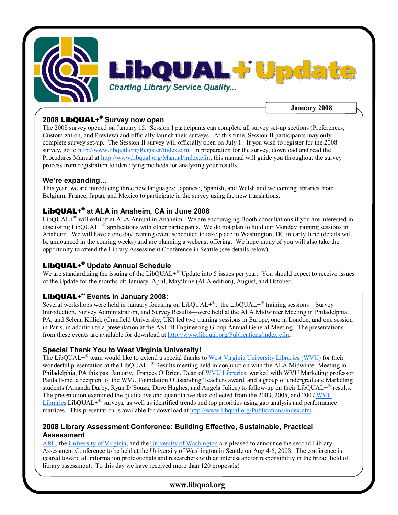

## **2008 LibQUAL+ ® Survey now open**

The 2008 survey opened on January 15. Session I participants can complete all survey setup sections (Preferences, Customization, and Preview) and officially launch their surveys. At this time, Session II participants may only complete survey setup. The Session II survey will officially open on July 1. If you wish to register for the 2008 survey, go to [http://www.libqual.org/Register/index.cfm.](http://old.libqual.org/Register/index.cfm) In preparation for the survey, download and read the Procedures Manual at [http://www.libqual.org/Manual/index.cfm](http://old.libqual.org/Manual/index.cfm); this manual will guide you throughout the survey process from registration to identifying methods for analyzing your results.

### **We're expanding…**

This year, we are introducing three new languages: Japanese, Spanish, and Welsh and welcoming libraries from Belgium, France, Japan, and Mexico to participate in the survey using the new translations.

## **LibQUAL+ ® at ALA in Anaheim, CA in June 2008**

LibQUAL+<sup>®</sup> will exhibit at ALA Annual in Anaheim. We are encouraging Booth consultations if you are interested in discussing LibQUAL+ ® applications with other participants. We do not plan to hold our Monday training sessions in Anaheim. We will have a one day training event scheduled to take place in Washington, DC in early June (details will be announced in the coming weeks) and are planning a webcast offering. We hope many of you will also take the opportunity to attend the Library Assessment Conference in Seattle (see details below).

# **LibQUAL+ ® Update Annual Schedule**

We are standardizing the issuing of the LibQUAL+<sup>®</sup> Update into 5 issues per year. You should expect to receive issues of the Update for the months of: January, April, May/June (ALA edition), August, and October.

# **LibQUAL+ ® Events in January 2008:**

Several workshops were held in January focusing on  $LibQUAL+^{\otimes}$ : the  $LibQUAL+^{\otimes}$  training sessions—Survey Introduction, Survey Administration, and Survey Results—were held at the ALA Midwinter Meeting in Philadelphia, PA; and Selena Killick (Cranfield University, UK) led two training sessions in Europe, one in London, and one session in Paris, in addition to a presentation at the ASLIB Engineering Group Annual General Meeting. The presentations from these events are available for download at [http://www.libqual.org/Publications/index.cfm](http://old.libqual.org/Publications/index.cfm).

### **Special Thank You to West Virginia University!**

The LibQUAL+<sup>®</sup> team would like to extend a special thanks to West Virginia [University](http://www.libraries.wvu.edu/) Libraries (WVU) for their wonderful presentation at the LibQUAL+® Results meeting held in conjunction with the ALA Midwinter Meeting in Philadelphia, PA this past January. Frances O'Brien, Dean of WVU [Libraries](http://www.libraries.wvu.edu/), worked with WVU Marketing professor Paula Bone, a recipient of the WVU Foundation Outstanding Teachers award, and a group of undergraduate Marketing students (Amanda Darby, Ryan D'Souza, Dave Hughes, and Angela Julien) to follow-up on their LibQUAL+<sup>®</sup> results. The [presentation examined the](http://www.libraries.wvu.edu/) qualitative and quantitative data collected from the 2003, 2005, and 2007 WVU Libraries LibQUAL+<sup>®</sup> surveys, as well as identified trends and top priorities using gap analysis and performance matrices. This presentation is available for download at [http://www.libqual.org/Publications/index.cfm.](http://old.libqual.org/Publications/index.cfm)

### **2008 Library Assessment Conference: Building Effective, Sustainable, Practical Assessment**

[ARL](http://www.arl.org/), the [University](http://www.lib.virginia.edu/) of Virginia, and the University of [Washington](http://www.lib.washington.edu/) are pleased to announce the second Library Assessment Conference to be held at the University of Washington in Seattle on Aug 4-6, 2008. The conference is geared toward all information professionals and researchers with an interest and/or responsibility in the broad field of library assessment. To this day we have received more than 120 proposals!